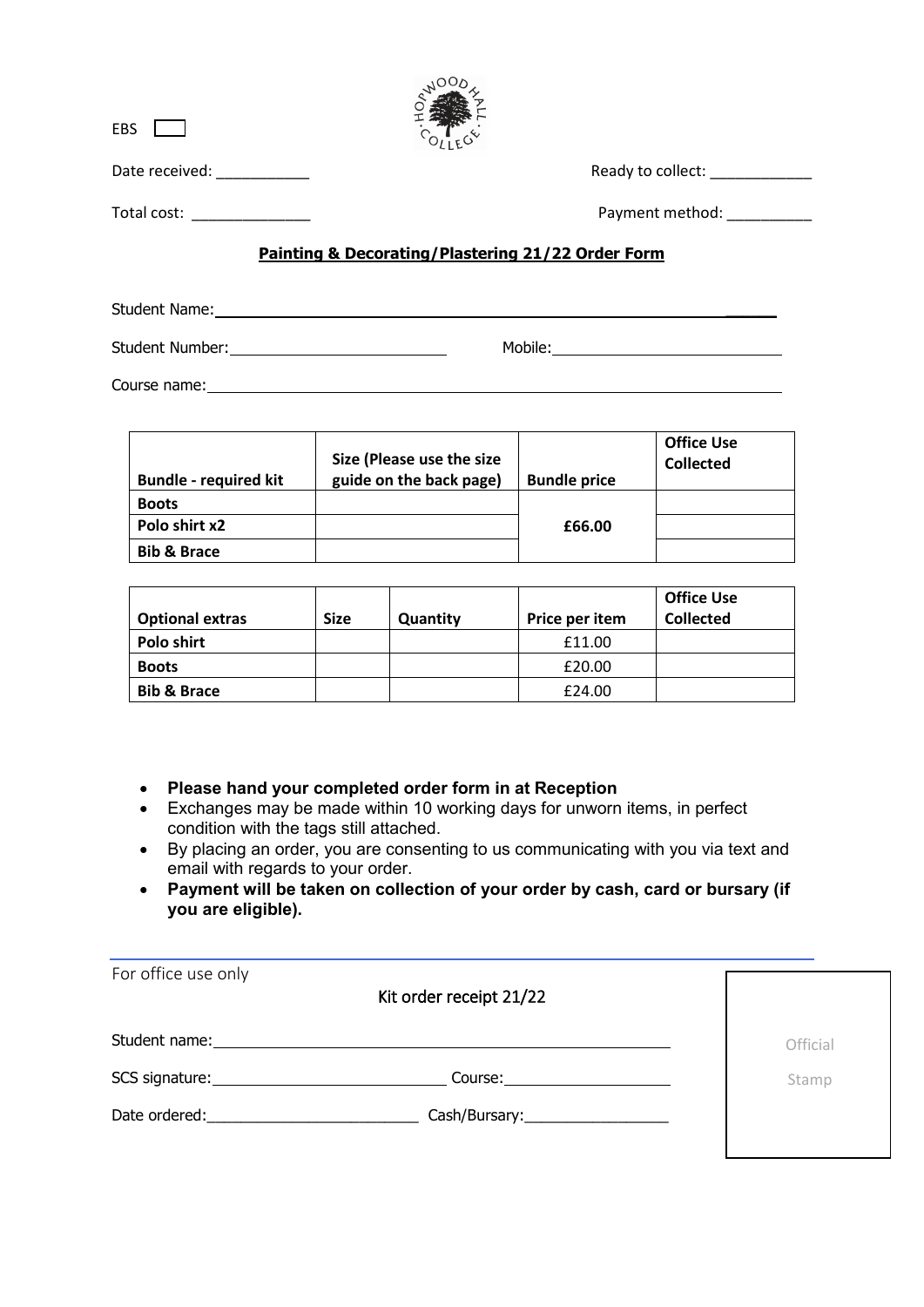| <b>EBS</b>                |                                                   |
|---------------------------|---------------------------------------------------|
| Date received: __________ | Ready to collect:                                 |
| Total cost:               | Payment method: ___________                       |
|                           | Painting & Decorating/Plastering 21/22 Order Form |
| <b>Student Name:</b>      |                                                   |

**OOON** 

Student Number: Mobile: Mobile: Mobile: Mobile: Mobile: Mobile: Mobile: Mobile: Mobile: Mobile: Mobile: Mobile: Mobile: Mobile: Mobile: Mobile: Mobile: Mobile: Mobile: Mobile: Mobile: Mobile: Mobile: Mobile: Mobile: Mobile

Course name: experience of the state of the state of the state of the state of the state of the state of the state of the state of the state of the state of the state of the state of the state of the state of the state of

| <b>Bundle - required kit</b> | Size (Please use the size<br>guide on the back page) | <b>Bundle price</b> | <b>Office Use</b><br><b>Collected</b> |
|------------------------------|------------------------------------------------------|---------------------|---------------------------------------|
| <b>Boots</b>                 |                                                      |                     |                                       |
| Polo shirt x2                |                                                      | £66.00              |                                       |
| <b>Bib &amp; Brace</b>       |                                                      |                     |                                       |

| <b>Optional extras</b> | <b>Size</b> | Quantity | Price per item | <b>Office Use</b><br><b>Collected</b> |
|------------------------|-------------|----------|----------------|---------------------------------------|
| Polo shirt             |             |          | £11.00         |                                       |
| <b>Boots</b>           |             |          | £20.00         |                                       |
| <b>Bib &amp; Brace</b> |             |          | £24.00         |                                       |

- **Please hand your completed order form in at Reception**
- Exchanges may be made within 10 working days for unworn items, in perfect condition with the tags still attached.
- By placing an order, you are consenting to us communicating with you via text and email with regards to your order.
- **Payment will be taken on collection of your order by cash, card or bursary (if you are eligible).**

| For office use only                                                                                                                                                                                                            | Kit order receipt 21/22           |          |
|--------------------------------------------------------------------------------------------------------------------------------------------------------------------------------------------------------------------------------|-----------------------------------|----------|
|                                                                                                                                                                                                                                |                                   | Official |
|                                                                                                                                                                                                                                |                                   | Stamp    |
| Date ordered: and the state of the state of the state of the state of the state of the state of the state of the state of the state of the state of the state of the state of the state of the state of the state of the state | Cash/Bursary:____________________ |          |